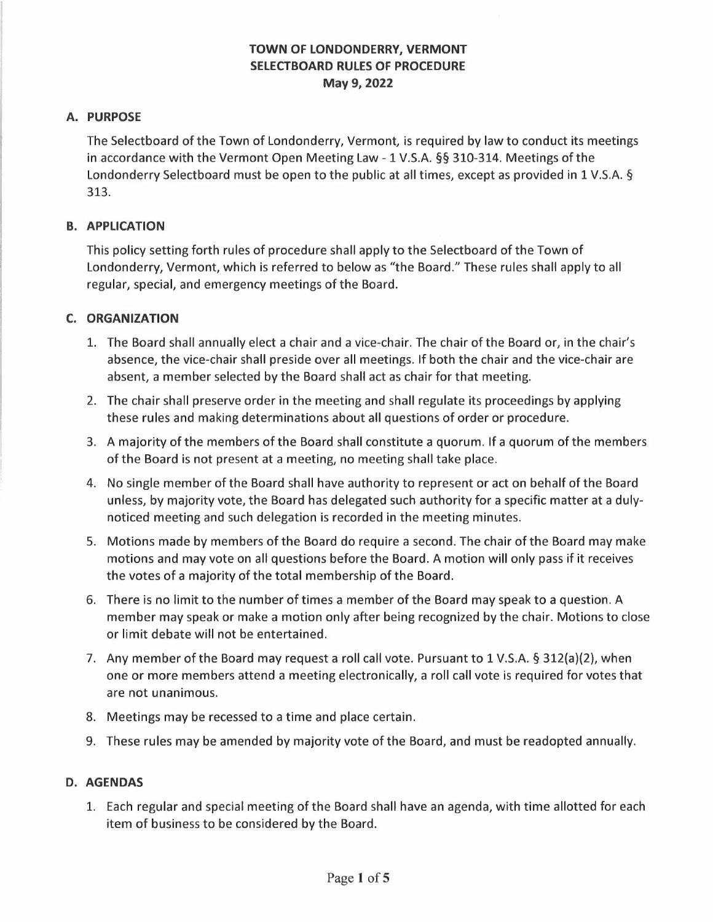# **TOWN OF LONDONDERRY, VERMONT SELECTBOARD RULES OF PROCEDURE May 9, 2022**

## **A. PURPOSE**

The Selectboard of the Town of Londonderry, Vermont, is required by law to conduct its meetings in accordance with the Vermont Open Meeting Law -1 V.S.A. §§ 310-314. Meetings of the Londonderry Selectboard must be open to the public at all times, except as provided in 1 V.S.A. § 313.

#### **B. APPLICATION**

This policy setting forth rules of procedure shall apply to the Selectboard of the Town of Londonderry, Vermont, which is referred to below as "the Board." These rules shall apply to all regular, special, and emergency meetings of the Board.

### **C. ORGANIZATION**

- 1. The Board shall annually elect a chair and a vice-chair. The chair of the Board or, in the chair's absence, the vice-chair shall preside over all meetings. If both the chair and the vice-chair are absent, a member selected by the Board shall act as chair for that meeting.
- 2. The chair shall preserve order in the meeting and shall regulate its proceedings by applying these rules and making determinations about all questions of order or procedure.
- 3. A majority of the members of the Board shall constitute a quorum. If a quorum of the members of the Board is not present at a meeting, no meeting shall take place.
- 4. No single member of the Board shall have authority to represent or act on behalf of the Board unless, by majority vote, the Board has delegated such authority for a specific matter at a dulynoticed meeting and such delegation is recorded in the meeting minutes.
- 5. Motions made by members of the Board do require a second. The chair of the Board may make motions and may vote on all questions before the Board. A motion will only pass if it receives the votes of a majority of the total membership of the Board.
- 6. There is no limit to the number of times a member of the Board may speak to a question. A member may speak or make a motion only after being recognized by the chair. Motions to close or limit debate will not be entertained.
- 7. Any member of the Board may request a roll call vote. Pursuant to 1 V.S.A. § 312(a)(2), when one or more members attend a meeting electronically, a roll call vote is required for votes that are not unanimous.
- 8. Meetings may be recessed to a time and place certain.
- 9. These rules may be amended by majority vote of the Board, and must be readopted annually.

### **D. AGENDAS**

1. Each regular and special meeting of the Board shall have an agenda, with time allotted for each item of business to be considered by the Board.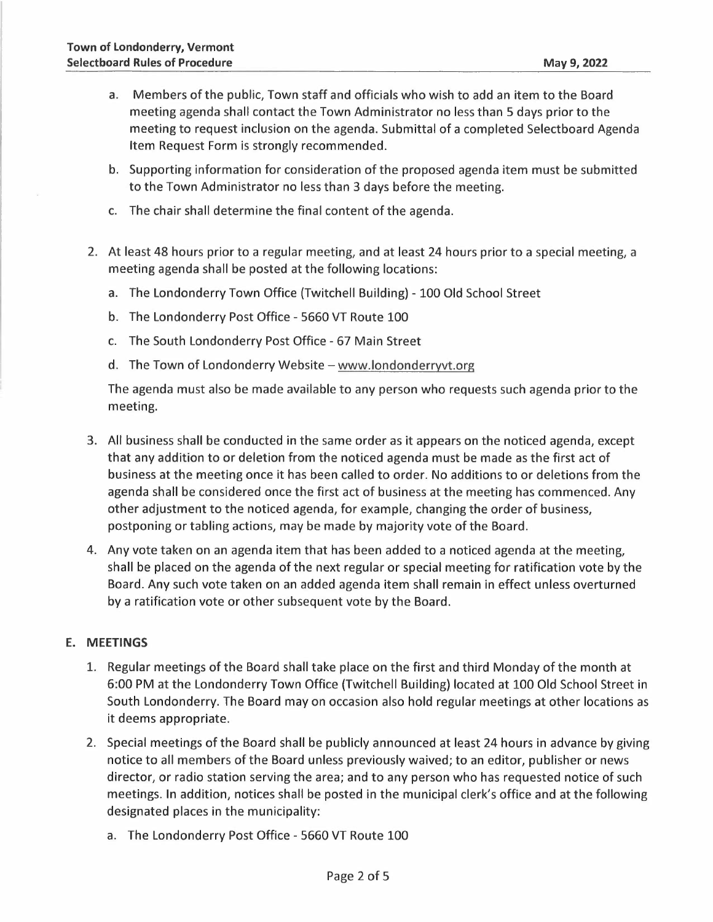- a. Members of the public, Town staff and officials who wish to add an item to the Board meeting agenda shall contact the Town Administrator no less than 5 days prior to the meeting to request inclusion on the agenda. Submittal of a completed Selectboard Agenda Item Request Form is strongly recommended.
- b. Supporting information for consideration of the proposed agenda item must be submitted to the Town Administrator no less than 3 days before the meeting.
- c. The chair shall determine the final content of the agenda.
- 2. At least 48 hours prior to a regular meeting, and at least 24 hours prior to a special meeting, a meeting agenda shall be posted at the following locations:
	- a. The Londonderry Town Office (Twitchell Building) 100 Old School Street
	- b. The Londonderry Post Office 5660 VT Route 100
	- c. The South Londonderry Post Office 67 Main Street
	- d. The Town of Londonderry Website www.londonderryvt.org

The agenda must also be made available to any person who requests such agenda prior to the meeting.

- 3. All business shall be conducted in the same order as it appears on the noticed agenda, except that any addition to or deletion from the noticed agenda must be made as the first act of business at the meeting once it has been called to order. No additions to or deletions from the agenda shall be considered once the first act of business at the meeting has commenced. Any other adjustment to the noticed agenda, for example, changing the order of business, postponing or tabling actions, may be made by majority vote of the Board.
- 4. Any vote taken on an agenda item that has been added to a noticed agenda at the meeting, shall be placed on the agenda of the next regular or special meeting for ratification vote by the Board. Any such vote taken on an added agenda item shall remain in effect unless overturned by a ratification vote or other subsequent vote by the Board.

#### **E. MEETINGS**

- 1. Regular meetings of the Board shall take place on the first and third Monday of the month at 6:00 PM at the Londonderry Town Office (Twitchell Building) located at 100 Old School Street in South Londonderry. The Board may on occasion also hold regular meetings at other locations as it deems appropriate.
- 2. Special meetings of the Board shall be publicly announced at least 24 hours in advance by giving notice to all members of the Board unless previously waived; to an editor, publisher or news director, or radio station serving the area; and to any person who has requested notice of such meetings. In addition, notices shall be posted in the municipal clerk's office and at the following designated places in the municipality:
	- a. The Londonderry Post Office 5660 VT Route 100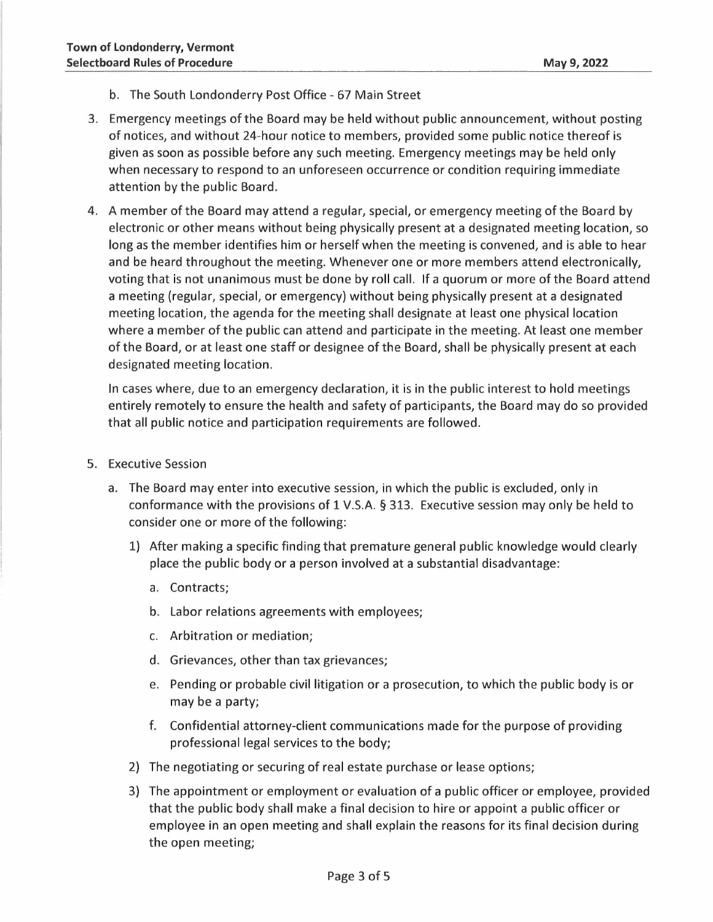- b. The South Londonderry Post Office 67 Main Street
- 3. Emergency meetings of the Board may be held without public announcement, without posting of notices, and without 24-hour notice to members, provided some public notice thereof is given as soon as possible before any such meeting. Emergency meetings may be held only when necessary to respond to an unforeseen occurrence or condition requiring immediate attention by the public Board.
- 4. A member of the Board may attend a regular, special, or emergency meeting of the Board by electronic or other means without being physically present at a designated meeting location, so long as the member identifies him or herself when the meeting is convened, and is able to hear and be heard throughout the meeting. Whenever one or more members attend electronically, voting that is not unanimous must be done by roll call. If a quorum or more of the Board attend a meeting (regular, special, or emergency) without being physically present at a designated meeting location, the agenda for the meeting shall designate at least one physical location where a member of the public can attend and participate in the meeting. At least one member of the Board, or at least one staff or designee of the Board, shall be physically present at each designated meeting location.

In cases where, due to an emergency declaration, it is in the public interest to hold meetings entirely remotely to ensure the health and safety of participants, the Board may do so provided that all public notice and participation requirements are followed.

- 5. Executive Session
	- a. The Board may enter into executive session, in which the public is excluded, only in conformance with the provisions of 1 V.S.A. § 313. Executive session may only be held to consider one or more of the following:
		- 1) After making a specific finding that premature general public knowledge would clearly place the public body or a person involved at a substantial disadvantage:
			- a. Contracts;
			- b. Labor relations agreements with employees;
			- c. Arbitration or mediation;
			- d. Grievances, other than tax grievances;
			- e. Pending or probable civil litigation or a prosecution, to which the public body is or may be a party;
			- f. Confidential attorney-client communications made for the purpose of providing professional legal services to the body;
		- 2) The negotiating or securing of real estate purchase or lease options;
		- 3) The appointment or employment or evaluation of a public officer or employee, provided that the public body shall make a final decision to hire or appoint a public officer or employee in an open meeting and shall explain the reasons for its final decision during the open meeting;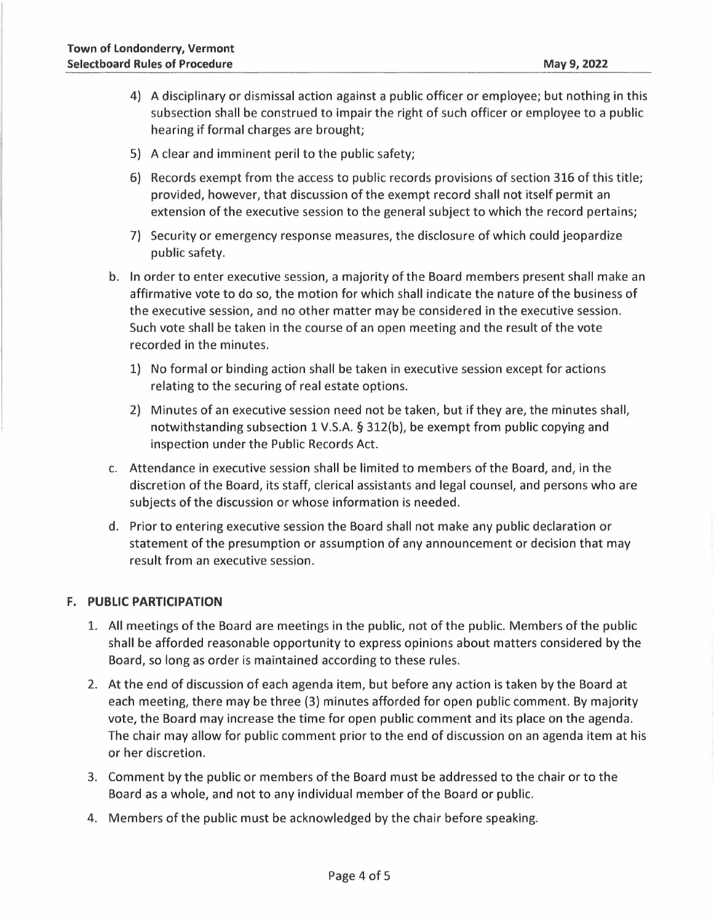- 4) A disciplinary or dismissal action against a public officer or employee; but nothing in this subsection shall be construed to impair the right of such officer or employee to a public hearing if formal charges are brought;
- 5) A clear and imminent peril to the public safety;
- 6) Records exempt from the access to public records provisions of section 316 of this title; provided, however, that discussion of the exempt record shall not itself permit an extension of the executive session to the general subject to which the record pertains;
- 7) Security or emergency response measures, the disclosure of which could jeopardize public safety.
- b. In order to enter executive session, a majority of the Board members present shall make an affirmative vote to do so, the motion for which shall indicate the nature of the business of the executive session, and no other matter may be considered in the executive session. Such vote shall be taken in the course of an open meeting and the result of the vote recorded in the minutes.
	- 1) No formal or binding action shall be taken in executive session except for actions relating to the securing of real estate options.
	- 2) Minutes of an executive session need not be taken, but if they are, the minutes shall, notwithstanding subsection 1 V.S.A. § 312(b), be exempt from public copying and inspection under the Public Records Act.
- c. Attendance in executive session shall be limited to members of the Board, and, in the discretion of the Board, its staff, clerical assistants and legal counsel, and persons who are subjects of the discussion or whose information is needed.
- d. Prior to entering executive session the Board shall not make any public declaration or statement of the presumption or assumption of any announcement or decision that may result from an executive session.

### **F. PUBLIC PARTICIPATION**

- 1. All meetings of the Board are meetings in the public, not of the public. Members of the public shall be afforded reasonable opportunity to express opinions about matters considered by the Board, so long as order is maintained according to these rules.
- 2. At the end of discussion of each agenda item, but before any action is taken by the Board at each meeting, there may be three (3) minutes afforded for open public comment. By majority vote, the Board may increase the time for open public comment and its place on the agenda. The chair may allow for public comment prior to the end of discussion on an agenda item at his or her discretion.
- 3. Comment by the public or members of the Board must be addressed to the chair or to the Board as a whole, and not to any individual member of the Board or public.
- 4. Members of the public must be acknowledged by the chair before speaking.